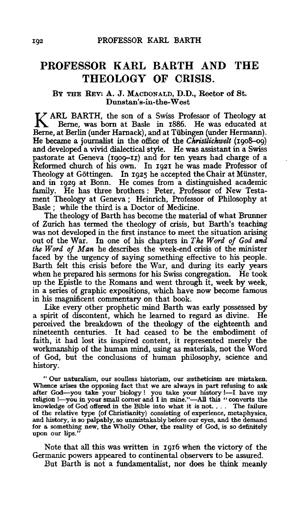## **PROFESSOR KARL BARTH AND THE THEOLOGY OF CRISIS.**

## BY THE REV: A. J. MACDONALD, D.D., Rector of St. Dunstan's-in-the-West

K ARL BARTH, the son of a Swiss Professor of Theology at Berne, was born at Basle in 1886. He was educated at Berne, at Berlin (under Harnack), and at Tübingen (under Hermann). He became a journalist in the office of the *Christlichwelt* (1908-o9) and developed a vivid dialectical style. He was assistant in a Swiss pastorate at Geneva (1909-II) and for ten years had charge of a Reformed church of his own. In 1921 he was made Professor of Theology at Göttingen. In 1925 he accepted the Chair at Münster, and in 1929 at Bonn. He comes from a distinguished academic family. He has three brothers: Peter, Professor of New Testament Theology at Geneva; Heinrich, Professor of Philosophy at Basle ; while the third is a Doctor of Medicine.

The theology of Barth has become the material of what Brunner of Zurich has termed the theology of crisis, but Barth's teaching was not developed in the first instance to meet the situation arising out of the War. In one of his chapters in *The Word of God and the Word of Man* he describes the week-end crisis of the minister faced by the urgency of saying something effective to his people. Barth felt this crisis before the War, and during its early years when he prepared his sermons for his Swiss congregation. He took up the Epistle to the Romans and went through it, week by week, in a series of graphic expositions, which have now become famous in his magnificent commentary on that book.

Like every other prophetic mind Barth was early possessed by a spirit of discontent, which he learned to regard as divine. He perceived the breakdown of the theology of the eighteenth and nineteenth centuries. It had ceased to be the embodiment of faith, it had lost its inspired content, it represented merely the workmanship of the human mind, using as materials, not the Word of God, but the conclusions of human philosophy, science and history.

" Our naturalism, our soulless historism, our æstheticism are mistaken. Whence arises the opposing fact that we are always in part refusing to ask after God-you take your biology ! you take your history !- I have my religion !- you in your small corner and I in mine."-All this "converts the knowledge of God offered in the Bible into what it is not. . . . The failure of the relative type (of Christianity) consisting of experience, metaphysics, and history, is so palpably, so unmistakably before our eyes, and the demand for a something new, the Wholly Other, the reality of God, is so definitely upon our lips."

Note that all this was written in 1916 when the victory of the Germanic powers appeared to continental observers to be assured.

But Barth is not a fundamentalist, nor does he think meanly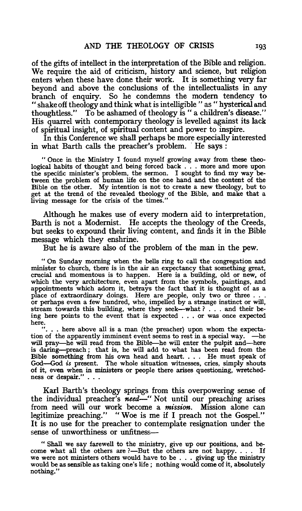of the gifts of intellect in the interpretation of the Bible and religion. We require the aid of criticism, history and science, but religion enters when these have done their work. It is something very far beyond and above the conclusions of the intellectualists in any branch of enquiry. So he condemns the modem tendency to "shake off theology and think what is intelligible " as " hysterical and thoughtless." To be ashamed of theology is " a children's disease." His quarrel with contemporary theology is levelled against its lack of spiritual insight, of spiritual content and power to inspire.

In this Conference we shall perhaps be more especially interested in what Barth calls the preacher's problem. He says:

"Once in the Ministry I found myself growing away from these theological habits of thought and being forced back . . . more and more upon the specific minister's problem, the sermon. I sought to find my way between the problem of human life on the one hand and the content of the Bible on the other. My intention is not to create a new theology, but to get at the trend of the revealed theology of the Bible, and make that a living message for the crisis of the times."

Although he makes use of every modem aid to interpretation, Barth is not a Modernist. He accepts the theology of the Creeds, but seeks to expound their living content, and finds it in the Bible message which they enshrine.

But he is aware also of the problem of the man in the pew.

"On Sunday morning when the bells ring to call the congregation and minister to church, there is in the air an expectancy that something great, crucial and momentous is to happen. Here is a building, old or new, of which the very architecture, even apart from the symbols, paintings, and appointments which adorn it, betrays the fact that it is thought of as a place of extraordinary doings. Here are people, only two or three . . . or perhaps even a few hundred, who, impelled by a strange instinct or will, stream towards this building, where they seek—what ? . . and their be-<br>ing here points to the event that is expected . . . or was once expected here.

. here above all is a man (the preacher) upon whom the expectation of the apparently imminent event seems to rest in a special way. - he will pray-he will read from the Bible-he will enter the pulpit and-here is daring-preach ; that is, he will add to what has been read from the Bible something from his own head and heart. . . . He must speak of God-God *is* present. The whole situation witnesses, cries, simply shouts of it, even when in ministers or people there arises questioning, wretchedness or despair."...

Karl Barth's theology springs from this overpowering sense of the individual preacher's *need-"* Not until our preaching arises from need will our work become a *mission.* Mission alone can legitimize preaching." "Woe is me if I preach not the Gospel." It is no use for the preacher to contemplate resignation under the sense of unworthiness or unfitness-

"Shall we say farewell to the ministry, give up our positions, and be-<br>come what all the others are ?--But the others are not happy. . . . If we were not ministers others would have to be ... giving up the ministry would be as sensible as taking one's life ; nothing would come of it, absolutely nothing."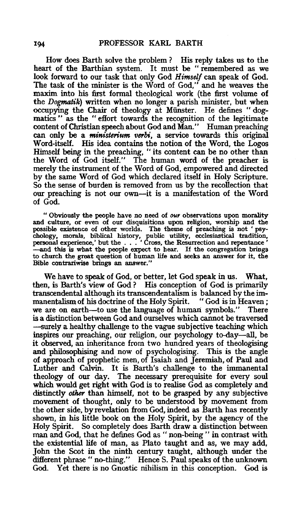How does Barth solve the problem ? His reply takes us to the heart of the Barthian system. It must be " remembered as we look forward to our task that only God *Himself* can speak of God. The task of the minister is the Word of God," and he weaves the maxim into his first formal theological work (the first volume of the *Dogmatik)* written when no longer a parish minister, but when occupying the Chair of theology at Miinster. He defines "dogmatics " as the " effort towards the recognition of the legitimate content of Christian speech about God and Man." Human preaching can only be a *ministerium verbi,* a service towards this original Word-itself. His idea contains the notion of the Word, the Logos Himself being in the preaching, " its content can be no other than the Word of God itself." The human word of the preacher is merely the instrument of the Word of God, empowered and directed by the same Word of God which declared itself in Holy Scripture. So the sense of burden is removed from us by the recollection that our preaching is not our own-it is a manifestation of the Word of God.

" Obviously the people have no need of *our* observations upon morality and culture, or even of our disquisitions upon religion, worship and the possible existence of other worlds. The theme of preaching is not ' psychology, morals, biblical history, public utility, ecclesiastical tradition, personal experience,' but the . . . ' Cross, the Resurrection and repentance ' -and this is what the people expect to hear. If the congregation brings to church the great question of human life and seeks an answer for it, the Bible contrariwise brings an answer."

We have to speak of God, or better, let God speak in us. What, then, is Barth's view of God? His conception of God is primarily transcendental although its transcendentalism is balanced by the immanentalism of his doctrine of the Holy Spirit. "God is in Heaven;<br>we are on earth—to use the language of human symbols." There we are on earth-to use the language of human symbols." is a distinction between God and ourselves which cannot be traversed -surely a healthy challenge to the vague subjective teaching which inspires our preaching, our religion, our psychology to-day-all, be it observed, an inheritance from two hundred years of theologising and philosophising and now of psychologising. This is the angle of approach of prophetic men, of Isaiah and Jeremiah, of Paul and Luther and Calvin. It is Barth's challenge to the immanental theology of our day. The necessary prerequisite for every soul which would get right with God is to realise God as completely and distinctly *other* than himself, not to be grasped by any subjective movement of thought, only to be understood by movement from the other side, by revelation from God, indeed as Barth has recently shown, in his little book on the Holy Spirit, by the agency of the Holy Spirit. So completely does Barth draw a distinction between man and God, that he defines God as " non-being " in contrast with the existential life of man, as Plato taught and as, we may add, John the Scot in the ninth century taught, although under the different phrase" no-thing." Hence S. Paul speaks of the unknown God. Yet there is no Gnostic nihilism in this conception. God is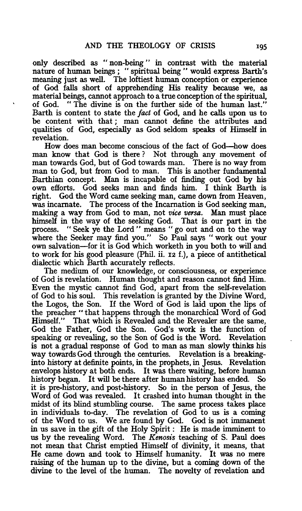only described as " non-being " in contrast with the material nature of human beings; "spiritual being" would express Barth's meaning just as well. The loftiest human conception or experience of God falls short of apprehending His reality because we, as material beings, cannot approach to a true conception of the spiritual, of God. " The divine is on the further side of the human last." Barth is content to state the *fact* of God, and he calls upon us to be content with that ; man cannot define the attributes and qualities of God, especially as God seldom speaks of Himself in revelation.

How does man become conscious of the fact of God-how does man know that God is there ? Not through any movement of man towards God, but of God towards man. There is no way from man to God, but from God to man. This is another fundamental Barthian concept. Man is incapable of finding out God by his own efforts. God seeks man and finds him. I think Barth is right. God the Word came seeking man, came down from Heaven, was incarnate. The process of the Incarnation is God seeking man, making a way from God to man, not *vice versa.* Man must place himself in the way of the seeking God. That is our part in the process. "Seek ve the Lord" means "go out and on to the wav " Seek ye the Lord " means " go out and on to the way where the Seeker may find you." So Paul says " work out your own salvation-for it is God which worketh in you both to will and to work for his good pleasure (Phil. ii. 12 f.), a piece of antithetical dialectic which Barth accurately reflects.

The medium of our knowledge, or consciousness, or experience of God is revelation. Human thought and reason cannot find Him. Even the mystic cannot find God, apart from the self-revelation of God to his soul. This revelation is granted by the Divine Word, the Logos, the Son. If the Word of God is laid upon the lips of the preacher " that happens through the monarchical Word of God Himself." That which is Revealed and the Revealer are the same, God the Father, God the Son. God's work is the function of speaking or revealing, so the Son of God is the Word. Revelation is not a gradual response of God to man as man slowly thinks his way towards God through the centuries. Revelation is a breakinginto history at definite points, in the prophets, in Jesus. Revelation envelops history at both ends. It was there waiting, before human history began. It will be there after human history has ended. it is pre-history, and post-history. So in the person of Jesus, the Word of God was revealed. It crashed into human thought in the midst of its blind stumbling course. The same process takes place in individuals to-day. The revelation of God to us is a coming of the Word to us. We are found by God. God is not immanent in us save in the gift of the Holy Spirit : He is made imminent to us by the revealing Word. The *Kenosis* teaching of S. Paul does not mean that Christ emptied Himself of divinity, it means, that He came down and took to Himself humanity. It was no mere raising of the human up to the divine, but a coming down of the divine to the level of the human. The novelty of revelation and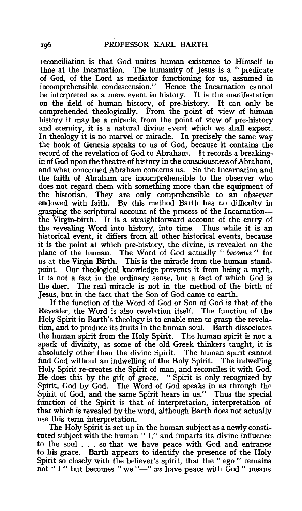reconciliation is that God unites human existence to Himself in time at the Incarnation. The humanity of Tesus is a "predicate" The humanity of Jesus is a " predicate of God, of the Lord as mediator functioning for us, assumed in incomprehensible condescension." Hence the Incarnation cannot be interpreted as a mere event in history. It is the manifestation on the field of human history, of pre-history. It can only be comprehended theologically. From the point of view of human history it may be a miracle, from the point of view of pre-history and eternity, it is a natural divine event which we shall expect. In theology it is no marvel or miracle. In precisely the same way the book of Genesis speaks to us of God, because it contains the record of the revelation of God to Abraham. It records a breakingin of God upon the theatre of history in the consciousness of Abraham, and what concerned Abraham concerns us. So the Incarnation and the faith of Abraham are incomprehensible to the observer who does not regard them with something more than the equipment of the historian. They are only comprehensible to an observer endowed with faith. By this method Barth has no difficulty in grasping the scriptural account of the process of the Incarnationthe Virgin-birth. It is a straightforward account of the entry of the revealing Word into history, into time. Thus while it is an historical event, it differs from all other historical events, because it is the point at which pre-history, the divine, is revealed on the plane of the human. The Word of God actually " *becomes* " for us at the Virgin Birth. This is the miracle from the human standpoint. Our theological knowledge prevents it from being a myth. It is not a fact in the ordinary sense, but a fact of which God is the doer. The real miracle is not in the method of the birth of Jesus, but in the fact that the Son of God came to earth.

If the function of the Word of God or Son of God is that of the Revealer, the Word is also revelation itself. The function of the Holy Spirit in Barth's theology is to enable men to grasp the revelation, and to produce its fruits in the human soul. Barth dissociates the human spirit from the Holy Spirit. The human spirit is not a spark of divinity, as some of the old Greek thinkers taught, it is absolutely other than the divine Spirit. The human spirit cannot find God without an indwelling of the Holy Spirit. The indwelling Holy Spirit re-creates the Spirit of man, and reconciles it with God. He does this by the gift of grace. " Spirit is only recognized by Spirit, God by God. The Word of God speaks in us through the Spirit of God, and the same Spirit hears in us." Thus the special function of the Spirit is that of interpretation, interpretation of that which is revealed by the word, although Barth does not actually use this term interpretation.

The Holy Spirit is set up in the human subject as a newly constituted subject with the human " I," and imparts its divine influence to the soul ... so that we have peace with God and entrance to his grace. Barth appears to identify the presence of the Holy Spirit so closely with the believer's spirit, that the "ego" remains not "I" but becomes " we"-" we have peace with God" means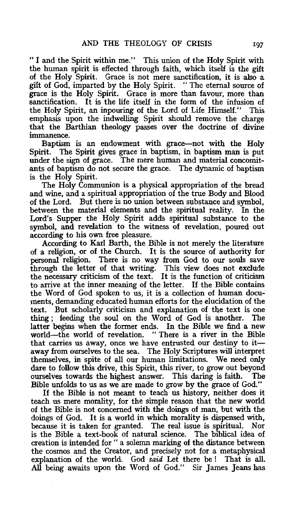*«I* and the Spirit within me." This union of the Holy Spirit with the human spirit is effected through faith, which itself is the gift of the Holy Spirit. Grace is not mere sanctification, it is also a gift of God, imparted by the Holy Spirit. " The eternal source of grace is the Holy Spirit. Grace is more than favour, more than sanctification. It is the life itself in the form of the infusion of the Holy Spirit, an inpouring of the Lord of Life Himself." This emphasis upon the indwelling Spirit should remove the charge that the Barthian theology passes over the doctrine of divine immanence.

Baptism is an endowment with grace-not with the Holy Spirit. The Spirit gives grace in baptism, in baptism man is put under the sign of grace. The mere human and material concomitants of baptism do not secure the grace. The dynamic of baptism is the Holy Spirit.

The Holy Communion is a physical appropriation of the bread and wine, and a spiritual appropriation of the true Body and Blood of the Lord. But there is no union between substance and symbol, between the material elements and the spiritual reality. In the Lord's Supper the Holy Spirit adds spiritual substance to the symbol, and revelation to the witness of revelation, poured out according to his own free pleasure.

According to Karl Barth, the Bible is not merely the literature of a religion, or of the Church. It is the source of authority for personal religion. There is no way from God to our souls save through the letter of that writing. This view does not exclude the necessary criticism of the text. It is the function of criticism to arrive at the inner meaning of the letter. If the Bible contains the Word of God spoken to us, it is a collection of human documents, demanding educated human efforts for the elucidation of the text. But scholarly criticism and explanation of the text is one thing; feeding the soul on the Word of God is another. The latter begins when the former ends. In the Bible we find a new world—the world of revelation. "There is a river in the Bible that carries us away, once we have entrusted our destiny to itaway from ourselves to the sea. The Holy Scriptures will interpret themselves, in spite of all our human limitations. We need only dare to follow this drive, this Spirit, this river, to grow out beyond ourselves towards the highest answer. This daring is faith. The Bible unfolds to us as we are made to grow by the grace of God."

If the Bible is not meant to teach us history, neither does it teach us mere morality, for the simple reason that the new world of the Bible is not concerned with the doings of man, but with the doings of God. It is a world in which morality is dispensed with, because it is taken for granted. The real issue is spiritual. Nor is the Bible a text-book of natural science. The biblical idea of creation is intended for " a solemn marking of the distance between the cosmos and the Creator, and precisely not for a metaphysical explanation of the world. God *said* Let there be l That is all. All being awaits upon the Word of God." Sir James Jeans has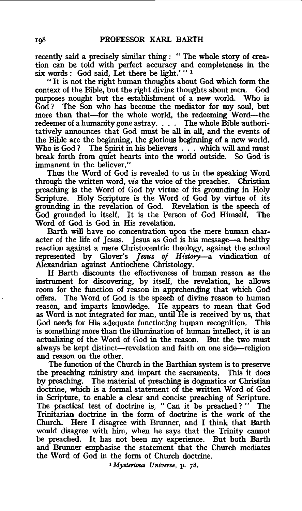recently said a precisely similar thing : " The whole story of creation can be told with perfect accuracy and completeness in the six words : God said, Let there be light.' " <sup>1</sup>

" It is not the right human thoughts about God which form the context of the Bible, but the right divine thoughts about men. God purposes nought but the establishment of a new world. Who is God ? The Son who has become the mediator for my soul, but more than that-for the whole world, the redeeming Word-the redeemer of a humanity gone astray. . . . The whole Bible authoritatively announces that God must be all in all, and the events of the Bible are the beginning, the glorious beginning of a new world.<br>Who is God? The Spirit in his believers . . . which will and must The Spirit in his believers . . . which will and must break forth from quiet hearts into the world outside. So God is immanent in the believer.''

Thus the Word of God is revealed to us in the speaking Word through the written word, *via* the voice of the preacher. Christian preaching is the Word of God by virtue of its grounding in Holy Scripture. Holy Scripture is the Word of God by virtue of its grounding in the revelation of God. Revelation is the speech of God grounded in itself. It is the Person of God Himself. The Word of God is God in His revelation.

Barth will have no concentration upon the mere human character of the life of Jesus. Jesus as God is his message-a healthy reaction against a mere Christocentric theology, against the school represented by Glover's *Jesus of History-a* vindication of Alexandrian against Antiochene Christology.

If Barth discounts the effectiveness of human reason as the instrument for discovering, by itself, the revelation, he allows room for the function of reason in apprehending that which God offers. The Word of God is the speech of divine reason to human reason, and imparts knowledge. He appears to mean that God as Word is not integrated for man, until He is received by us, that God needs for His adequate functioning human recognition. This is something more than the illumination of human intellect, it is an actualizing of the Word of God in the reason. But the two must always be kept distinct-revelation and faith on one side-religion and reason on the other.

The function of the Church in the Barthian system is to preserve the preaching ministry and impart the sacraments. This it does by preaching. The material of preaching is dogmatics or Christian doctrine, which is a formal statement of the written Word of God in Scripture, to enable a clear and concise preaching of Scripture. The practical test of doctrine is, " Can it be preached ? " The Trinitarian doctrine in the form of doctrine is the work of the Church. Here I disagree with Brunner, and I think that Barth would disagree with him, when he says that the Trinity cannot be preached. It has not been my experience. But both Barth and Brunner emphasise the statement that the Church mediates the Word of God in the form of Church doctrine.

<sup>1</sup> *Mysterious Universe*, p. 78,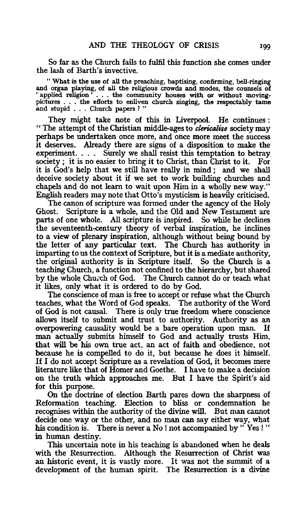So far as the Church fails to fulfil this function she comes under the lash of Barth's invective.

" What is the use of all the preaching, baptising, confirming, bell-ringing and organ playing, of all the religious crowds and modes, the counsels of 'applied religion ' . . . the community houses with or without movingpictures . . . the efforts to enliven church singing, the respectably tame and stupid . . . Church papers ? "

They might take note of this in Liverpool. He continues : " The attempt of the Christian middle-ages to *clericalise* society may perhaps be undertaken once more, and once more meet the success it deserves. Already there are signs of a disposition to make the Surely we shall resist this temptation to betray society ; it is no easier to bring it to Christ, than Christ to it. For it is God's help that we still have really in mind; and we shall deceive society about it if we set to work building churches and chapels and do not learn to wait upon Him in a wholly new way." English readers may note that Otto's mysticism is heavily criticised.

The canon of scripture was formed under the agency of the Holy Ghost. Scripture is a whole, and the Old and New Testament are parts of one whole. All scripture is inspired. So while he declines the seventeenth-century theory of verbal inspiration, he inclines to a view of plenary inspiration, although without being bound by the letter of any particular text. The Church has authority in imparting to us the context of Scripture, but it is a mediate authority, the original authority is in Scripture itself. So the Church is a teaching Church, a function not confined to the hierarchy, but shared by the whole Church of God. The Church cannot do or teach what it likes, only what it is ordered to do by God.

The conscience of man is free to accept or refuse what the Church teaches, what the Word of God speaks. The authority of the Word of God is not causal. There is only true freedom where conscience allows itself to submit and trust to authority. Authority as an overpowering causality would be a bare operation upon man. If man actually submits himself to God and actually trusts Him, that will be his own true act, an act of faith and obedience, not because he is compelled to do it, but because he does it himself. If I do not accept Scripture as a revelation of God, it becomes mere literature like that of Homer and Goethe. I have to make a decision on the truth which approaches me. But I have the Spirit's aid for this purpose.

On the doctrine of election Barth pares down the sharpness of Reformation teaching. Election to bliss or condemnation he recognises within the authority of the divine will. But man cannot decide one way or the other, and no man can say either way, what his condition is. There is never a No ! not accompanied by "Yes !" in human destiny.

This uncertain note in his teaching is abandoned when he deals with the Resurrection. Although the Resurrection of Christ was an historic event, it is vastly more. It was not the summit of a development of the human spirit. The Resurrection is a divine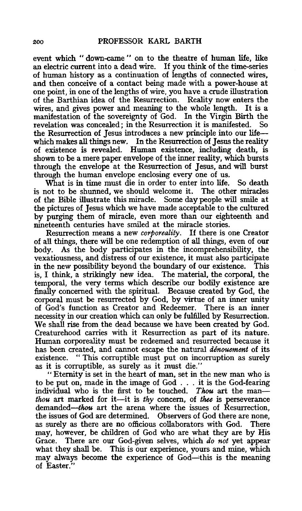event which " down-came " on to the theatre of human life, like an electric current into a dead wire. If you think of the time-series of human history as a continuation of lengths of connected wires, and then conceive of a contact being made with a power-house at one point, in one of the lengths of wire, you have a crude illustration of the Barthian idea of the Resurrection. Reality now enters the wires, and gives power and meaning to the whole length. manifestation of the sovereignty of God. In the Virgin Birth the revelation was concealed: in the Resurrection it is manifested. So revelation was concealed; in the Resurrection it is manifested. the Resurrection of Jesus introduces a new principle into our life-which makes all things new. In the Resurrection of Jesus the reality of existence is revealed. Human existence, including death, is shown to be a mere paper envelope of the inner reality, which bursts through the envelope at the Resurrection of Jesus, and will burst through the human envelope enclosing every one of us.

What is in time must die in order to enter into life. So death is not to be shunned, we should welcome it. The other miracles of the Bible illustrate this miracle. Some day people will smile at the pictures of Jesus which we have made acceptable to the cultured by purging them of miracle, even more than our eighteenth and nineteenth centuries have smiled at the miracle stories.

Resurrection means a new *corporeality.* If there is one Creator of all things, there will be one redemption of all things, even of our body. As the body participates in the incomprehensibility, the vexatiousness, and distress of our existence, it must also participate in the new possibility beyond the boundary of our existence. is, I think, a strikingly new idea. The material, the corporal, the temporal, the very terms which describe our bodily existence are finally concerned with the spiritual. Because created by God, the corporal must be resurrected by God, by virtue of an inner unity of God's function as Creator and Redeemer. There is an inner necessity in our creation which can only be fulfilled by Resurrection. We shall rise from the dead because we have been created by God. Creaturehood carries with it Resurrection as part of its nature. Human corporeality must be redeemed and resurrected because it has been created, and cannot escape the natural *denouement* of its existence. " This corruptible must put on incorruption as surely as it is corruptible, as surely as it must die."

" Eternity is set in the heart of man, set in the new man who is to be put on, made in the image of God . . . it is the God-fearing individual who is the first to be touched. *Thou* art the man*thou* art marked for it-it is *thy* concern, of *thee* is perseverance demanded—thou art the arena where the issues of Resurrection, the issues of God are determined. Observers of God there are none, as surely as there are no officious collaborators with God. There may, however, be children of God who are what they are by His Grace. There are our God-given selves, which *do not* yet appear what they shall be. This is our experience, yours and mine, which may always become the experience of God—this is the meaning of Easter."